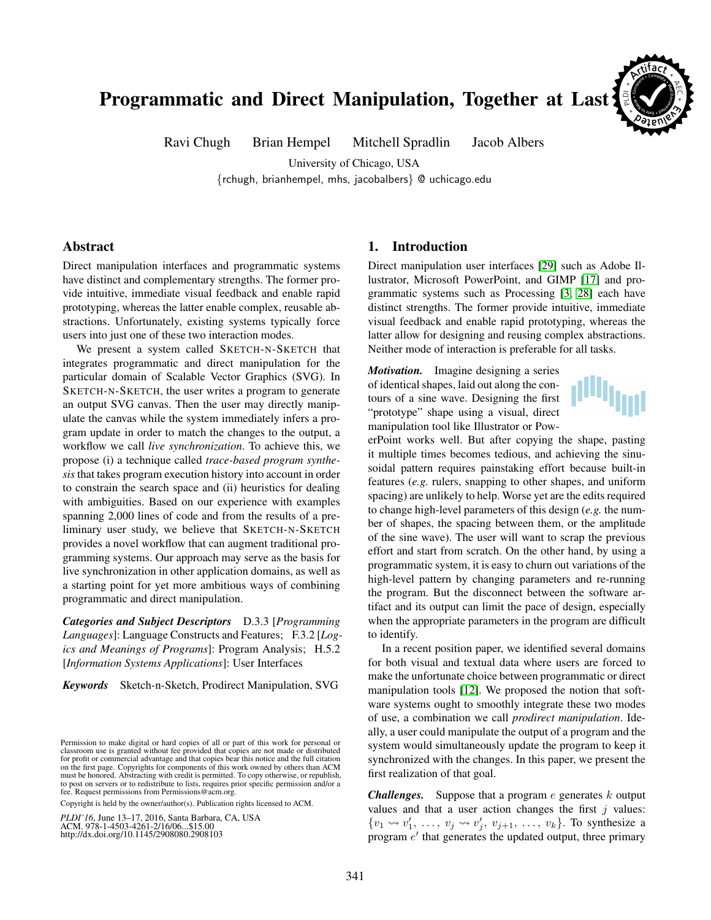# Programmatic and Direct Manipulation, Together at Last

Ravi Chugh Brian Hempel Mitchell Spradlin Jacob Albers

University of Chicago, USA {rchugh, brianhempel, mhs, jacobalbers} @ uchicago.edu

# Abstract

Direct manipulation interfaces and programmatic systems have distinct and complementary strengths. The former provide intuitive, immediate visual feedback and enable rapid prototyping, whereas the latter enable complex, reusable abstractions. Unfortunately, existing systems typically force users into just one of these two interaction modes.

We present a system called SKETCH-N-SKETCH that integrates programmatic and direct manipulation for the particular domain of Scalable Vector Graphics (SVG). In SKETCH-N-SKETCH, the user writes a program to generate an output SVG canvas. Then the user may directly manipulate the canvas while the system immediately infers a program update in order to match the changes to the output, a workflow we call *live synchronization*. To achieve this, we propose (i) a technique called *trace-based program synthesis* that takes program execution history into account in order to constrain the search space and (ii) heuristics for dealing with ambiguities. Based on our experience with examples spanning 2,000 lines of code and from the results of a preliminary user study, we believe that SKETCH-N-SKETCH provides a novel workflow that can augment traditional programming systems. Our approach may serve as the basis for live synchronization in other application domains, as well as a starting point for yet more ambitious ways of combining programmatic and direct manipulation.

*Categories and Subject Descriptors* D.3.3 [*Programming Languages*]: Language Constructs and Features; F.3.2 [*Logics and Meanings of Programs*]: Program Analysis; H.5.2 [*Information Systems Applications*]: User Interfaces

*Keywords* Sketch-n-Sketch, Prodirect Manipulation, SVG

Copyright is held by the owner/author(s). Publication rights licensed to ACM.

*PLDI'16*, June 13–17, 2016, Santa Barbara, CA, USA ACM. 978-1-4503-4261-2/16/06...\$15.00 http://dx.doi.org/10.1145/2908080.2908103

## <span id="page-0-0"></span>1. Introduction

Direct manipulation user interfaces [\[29\]](#page-13-0) such as Adobe Illustrator, Microsoft PowerPoint, and GIMP [\[17\]](#page-13-1) and programmatic systems such as Processing [\[3,](#page-12-0) [28\]](#page-13-2) each have distinct strengths. The former provide intuitive, immediate visual feedback and enable rapid prototyping, whereas the latter allow for designing and reusing complex abstractions. Neither mode of interaction is preferable for all tasks.

*Motivation.* Imagine designing a series of identical shapes, laid out along the contours of a sine wave. Designing the first "prototype" shape using a visual, direct manipulation tool like Illustrator or Pow-



**Consisten<sup>t</sup> \* <sup>C</sup><sup>o</sup>mplet<sup>e</sup> \* Wel l payasky <sup>t</sup> <sup>y</sup>sa<sup>E</sup> \* o Reuse**

\* PL \*

\*

AE C

**E** 

**<sup>A</sup><sup>r</sup>tifac<sup>t</sup>** \*

erPoint works well. But after copying the shape, pasting it multiple times becomes tedious, and achieving the sinusoidal pattern requires painstaking effort because built-in features (*e.g.* rulers, snapping to other shapes, and uniform spacing) are unlikely to help. Worse yet are the edits required to change high-level parameters of this design (*e.g.* the number of shapes, the spacing between them, or the amplitude of the sine wave). The user will want to scrap the previous effort and start from scratch. On the other hand, by using a programmatic system, it is easy to churn out variations of the high-level pattern by changing parameters and re-running the program. But the disconnect between the software artifact and its output can limit the pace of design, especially when the appropriate parameters in the program are difficult to identify.

In a recent position paper, we identified several domains for both visual and textual data where users are forced to make the unfortunate choice between programmatic or direct manipulation tools [\[12\]](#page-13-3). We proposed the notion that software systems ought to smoothly integrate these two modes of use, a combination we call *prodirect manipulation*. Ideally, a user could manipulate the output of a program and the system would simultaneously update the program to keep it synchronized with the changes. In this paper, we present the first realization of that goal.

*Challenges.* Suppose that a program  $e$  generates  $k$  output values and that a user action changes the first  $j$  values:  $\{v_1 \leadsto v'_1, \ldots, v_j \leadsto v'_j, v_{j+1}, \ldots, v_k\}$ . To synthesize a program  $e'$  that generates the updated output, three primary

Permission to make digital or hard copies of all or part of this work for personal or classroom use is granted without fee provided that copies are not made or distributed for profit or commercial advantage and that copies bear this notice and the full citation on the first page. Copyrights for components of this work owned by others than ACM must be honored. Abstracting with credit is permitted. To copy otherwise, or republish, to post on servers or to redistribute to lists, requires prior specific permission and/or a fee. Request permissions from Permissions@acm.org.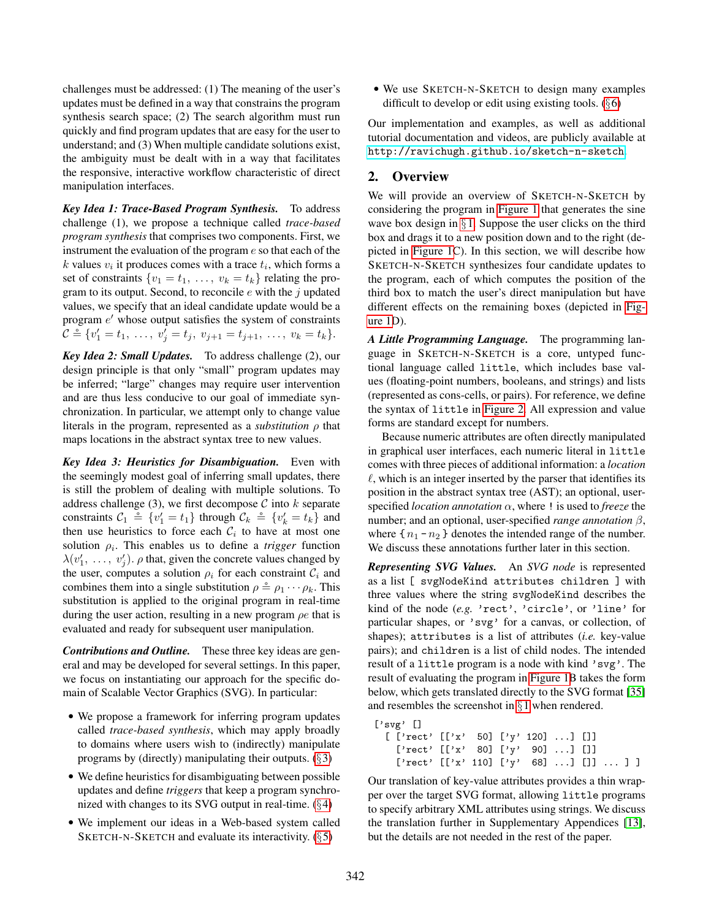challenges must be addressed: (1) The meaning of the user's updates must be defined in a way that constrains the program synthesis search space; (2) The search algorithm must run quickly and find program updates that are easy for the user to understand; and (3) When multiple candidate solutions exist, the ambiguity must be dealt with in a way that facilitates the responsive, interactive workflow characteristic of direct manipulation interfaces.

*Key Idea 1: Trace-Based Program Synthesis.* To address challenge (1), we propose a technique called *trace-based program synthesis* that comprises two components. First, we instrument the evaluation of the program e so that each of the k values  $v_i$  it produces comes with a trace  $t_i$ , which forms a set of constraints  $\{v_1 = t_1, \ldots, v_k = t_k\}$  relating the program to its output. Second, to reconcile  $e$  with the  $j$  updated values, we specify that an ideal candidate update would be a program  $e'$  whose output satisfies the system of constraints  $C \triangleq \{v'_1 = t_1, \ldots, v'_j = t_j, v_{j+1} = t_{j+1}, \ldots, v_k = t_k\}.$ 

*Key Idea 2: Small Updates.* To address challenge (2), our design principle is that only "small" program updates may be inferred; "large" changes may require user intervention and are thus less conducive to our goal of immediate synchronization. In particular, we attempt only to change value literals in the program, represented as a *substitution* ρ that maps locations in the abstract syntax tree to new values.

*Key Idea 3: Heuristics for Disambiguation.* Even with the seemingly modest goal of inferring small updates, there is still the problem of dealing with multiple solutions. To address challenge (3), we first decompose  $C$  into  $k$  separate constraints  $C_1 \triangleq \{v'_1 = t_1\}$  through  $C_k \triangleq \{v'_k = t_k\}$  and then use heuristics to force each  $\mathcal{C}_i$  to have at most one solution  $\rho_i$ . This enables us to define a *trigger* function  $\lambda(v'_1, \ldots, v'_j)$ .  $\rho$  that, given the concrete values changed by the user, computes a solution  $\rho_i$  for each constraint  $\mathcal{C}_i$  and combines them into a single substitution  $\rho \triangleq \rho_1 \cdots \rho_k$ . This substitution is applied to the original program in real-time during the user action, resulting in a new program  $\rho e$  that is evaluated and ready for subsequent user manipulation.

*Contributions and Outline.* These three key ideas are general and may be developed for several settings. In this paper, we focus on instantiating our approach for the specific domain of Scalable Vector Graphics (SVG). In particular:

- We propose a framework for inferring program updates called *trace-based synthesis*, which may apply broadly to domains where users wish to (indirectly) manipulate programs by (directly) manipulating their outputs.  $(\S 3)$  $(\S 3)$
- We define heuristics for disambiguating between possible updates and define *triggers* that keep a program synchronized with changes to its SVG output in real-time. (§[4\)](#page-5-0)
- We implement our ideas in a Web-based system called SKETCH-N-SKETCH and evaluate its interactivity.  $(\S 5)$  $(\S 5)$

• We use SKETCH-N-SKETCH to design many examples difficult to develop or edit using existing tools.  $(\S 6)$  $(\S 6)$ 

Our implementation and examples, as well as additional tutorial documentation and videos, are publicly available at <http://ravichugh.github.io/sketch-n-sketch>.

# <span id="page-1-0"></span>2. Overview

We will provide an overview of SKETCH-N-SKETCH by considering the program in [Figure 1](#page-2-0) that generates the sine wave box design in  $\S 1$ . Suppose the user clicks on the third box and drags it to a new position down and to the right (depicted in [Figure 1C](#page-2-0)). In this section, we will describe how SKETCH-N-SKETCH synthesizes four candidate updates to the program, each of which computes the position of the third box to match the user's direct manipulation but have different effects on the remaining boxes (depicted in [Fig](#page-2-0)[ure 1D](#page-2-0)).

*A Little Programming Language.* The programming language in SKETCH-N-SKETCH is a core, untyped functional language called little, which includes base values (floating-point numbers, booleans, and strings) and lists (represented as cons-cells, or pairs). For reference, we define the syntax of little in [Figure 2.](#page-4-1) All expression and value forms are standard except for numbers.

Because numeric attributes are often directly manipulated in graphical user interfaces, each numeric literal in little comes with three pieces of additional information: a *location*  $\ell$ , which is an integer inserted by the parser that identifies its position in the abstract syntax tree (AST); an optional, userspecified *location annotation* α, where ! is used to *freeze* the number; and an optional, user-specified *range annotation* β, where  $\{n_1 - n_2\}$  denotes the intended range of the number. We discuss these annotations further later in this section.

*Representing SVG Values.* An *SVG node* is represented as a list [ svgNodeKind attributes children ] with three values where the string svgNodeKind describes the kind of the node (*e.g.* 'rect', 'circle', or 'line' for particular shapes, or 'svg' for a canvas, or collection, of shapes); attributes is a list of attributes (*i.e.* key-value pairs); and children is a list of child nodes. The intended result of a little program is a node with kind 'svg'. The result of evaluating the program in [Figure 1B](#page-2-0) takes the form below, which gets translated directly to the SVG format [\[35\]](#page-13-4) and resembles the screenshot in §[1](#page-0-0) when rendered.

```
['svg' []
  [ ['rect' [['x' 50] ['y' 120] ...] []]
   ['rect' [['x' 80] ['y' 90] ...] []]
   ['rect' [['x' 110] ['y' 68] ... ] [] ... ]
```
Our translation of key-value attributes provides a thin wrapper over the target SVG format, allowing little programs to specify arbitrary XML attributes using strings. We discuss the translation further in Supplementary Appendices [\[13\]](#page-13-5), but the details are not needed in the rest of the paper.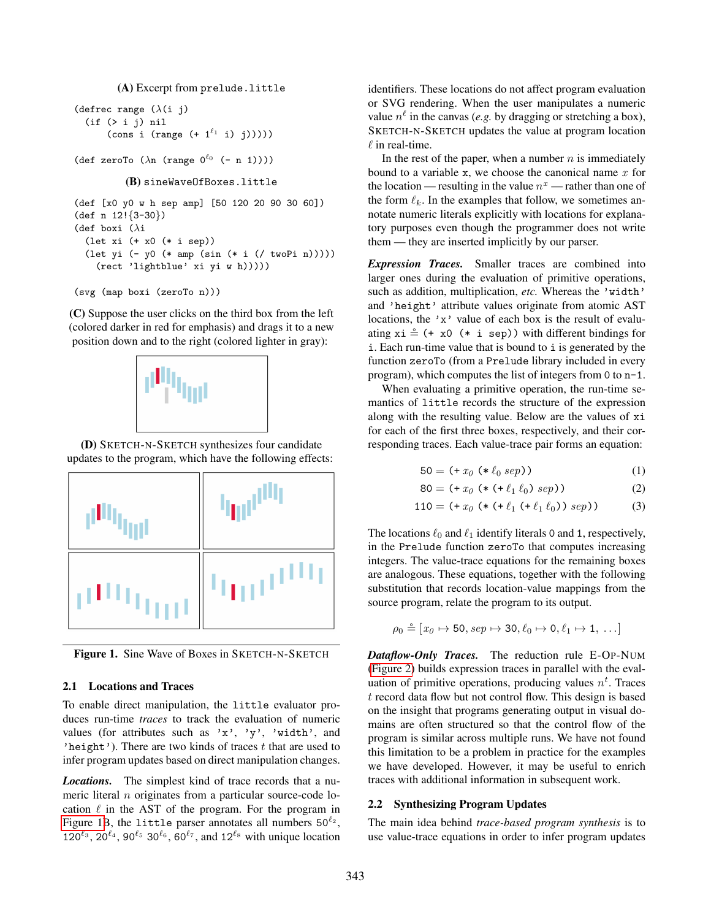(A) Excerpt from prelude.little

```
(defrec range (\lambda(i) j)
  (if (> i j) nil
       (cons i (range (+ 1^{\ell_1} i) j)))))
```

```
(def zeroTo (\lambda n \text{ (range } 0^{\ell_0} (- n 1))))
```

```
(B) sineWaveOfBoxes.little
```

```
(def [x0 y0 w h sep amp] [50 120 20 90 30 60])
(def n 12!{3-30})
(def boxi (\lambda i)(let xi (+ x0 (* i sep))
  (let yi (- y0 (* amp (sin (* i (/ twoPi n)))))
    (rect 'lightblue' xi yi w h)))))
```

```
(svg (map boxi (zeroTo n)))
```
(C) Suppose the user clicks on the third box from the left (colored darker in red for emphasis) and drags it to a new position down and to the right (colored lighter in gray):



(D) SKETCH-N-SKETCH synthesizes four candidate updates to the program, which have the following effects:



<span id="page-2-0"></span>Figure 1. Sine Wave of Boxes in SKETCH-N-SKETCH

#### 2.1 Locations and Traces

To enable direct manipulation, the little evaluator produces run-time *traces* to track the evaluation of numeric values (for attributes such as 'x', 'y', 'width', and 'height'). There are two kinds of traces  $t$  that are used to infer program updates based on direct manipulation changes.

*Locations.* The simplest kind of trace records that a numeric literal n originates from a particular source-code location  $\ell$  in the AST of the program. For the program in [Figure 1B](#page-2-0), the little parser annotates all numbers  $50^{\ell_2}$ ,  $120^{\ell_3}$ ,  $20^{\ell_4}$ ,  $90^{\ell_5}$   $30^{\ell_6}$ ,  $60^{\ell_7}$ , and  $12^{\ell_8}$  with unique location

identifiers. These locations do not affect program evaluation or SVG rendering. When the user manipulates a numeric value  $n^{\ell}$  in the canvas (*e.g.* by dragging or stretching a box), SKETCH-N-SKETCH updates the value at program location  $\ell$  in real-time.

In the rest of the paper, when a number  $n$  is immediately bound to a variable x, we choose the canonical name  $x$  for the location — resulting in the value  $n^x$  — rather than one of the form  $\ell_k$ . In the examples that follow, we sometimes annotate numeric literals explicitly with locations for explanatory purposes even though the programmer does not write them — they are inserted implicitly by our parser.

*Expression Traces.* Smaller traces are combined into larger ones during the evaluation of primitive operations, such as addition, multiplication, *etc.* Whereas the 'width' and 'height' attribute values originate from atomic AST locations, the 'x' value of each box is the result of evaluating  $xi \triangleq (+ x0 (* i sep))$  with different bindings for i. Each run-time value that is bound to i is generated by the function zeroTo (from a Prelude library included in every program), which computes the list of integers from 0 to n-1.

When evaluating a primitive operation, the run-time semantics of little records the structure of the expression along with the resulting value. Below are the values of xi for each of the first three boxes, respectively, and their corresponding traces. Each value-trace pair forms an equation:

<span id="page-2-3"></span><span id="page-2-2"></span><span id="page-2-1"></span>
$$
50 = (+ x_0 (* \ell_0 sep))
$$
 (1)

$$
80 = (+ x_0 (* (+ \ell_1 \ell_0) sep))
$$
 (2)

$$
110 = (+ x_0 (* (+ \ell_1 (+ \ell_1 \ell_0)) sep))
$$
 (3)

The locations  $\ell_0$  and  $\ell_1$  identify literals 0 and 1, respectively, in the Prelude function zeroTo that computes increasing integers. The value-trace equations for the remaining boxes are analogous. These equations, together with the following substitution that records location-value mappings from the source program, relate the program to its output.

$$
\rho_0 \triangleq [x_0 \mapsto 50, \text{sep} \mapsto 30, \ell_0 \mapsto 0, \ell_1 \mapsto 1, \ldots]
$$

*Dataflow-Only Traces.* The reduction rule E-OP-NUM [\(Figure 2\)](#page-4-1) builds expression traces in parallel with the evaluation of primitive operations, producing values  $n<sup>t</sup>$ . Traces t record data flow but not control flow. This design is based on the insight that programs generating output in visual domains are often structured so that the control flow of the program is similar across multiple runs. We have not found this limitation to be a problem in practice for the examples we have developed. However, it may be useful to enrich traces with additional information in subsequent work.

## 2.2 Synthesizing Program Updates

The main idea behind *trace-based program synthesis* is to use value-trace equations in order to infer program updates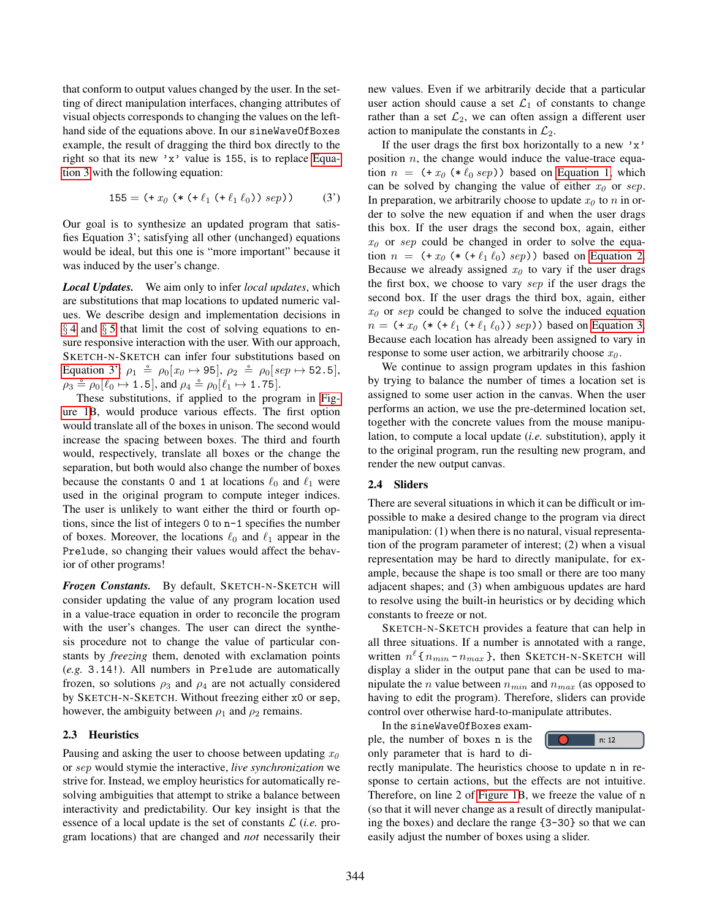that conform to output values changed by the user. In the setting of direct manipulation interfaces, changing attributes of visual objects corresponds to changing the values on the lefthand side of the equations above. In our sineWaveOfBoxes example, the result of dragging the third box directly to the right so that its new 'x' value is 155, is to replace [Equa](#page-2-1)[tion 3](#page-2-1) with the following equation:

$$
155 = (+ x_0 (* (+ \ell_1 (+ \ell_1 \ell_0)) sep))
$$
 (3')

Our goal is to synthesize an updated program that satisfies Equation 3'; satisfying all other (unchanged) equations would be ideal, but this one is "more important" because it was induced by the user's change.

*Local Updates.* We aim only to infer *local updates*, which are substitutions that map locations to updated numeric values. We describe design and implementation decisions in § [4](#page-5-0) and § [5](#page-6-0) that limit the cost of solving equations to ensure responsive interaction with the user. With our approach, SKETCH-N-SKETCH can infer four substitutions based on [Equation 3':](#page-3-0)  $\rho_1 \triangleq \rho_0[x_0 \mapsto 95], \rho_2 \triangleq \rho_0[sep \mapsto 52.5],$  $\rho_3 \triangleq \rho_0[\ell_0 \mapsto 1.5]$ , and  $\rho_4 \triangleq \rho_0[\ell_1 \mapsto 1.75]$ .

These substitutions, if applied to the program in [Fig](#page-2-0)[ure 1B](#page-2-0), would produce various effects. The first option would translate all of the boxes in unison. The second would increase the spacing between boxes. The third and fourth would, respectively, translate all boxes or the change the separation, but both would also change the number of boxes because the constants 0 and 1 at locations  $\ell_0$  and  $\ell_1$  were used in the original program to compute integer indices. The user is unlikely to want either the third or fourth options, since the list of integers 0 to n-1 specifies the number of boxes. Moreover, the locations  $\ell_0$  and  $\ell_1$  appear in the Prelude, so changing their values would affect the behavior of other programs!

*Frozen Constants.* By default, SKETCH-N-SKETCH will consider updating the value of any program location used in a value-trace equation in order to reconcile the program with the user's changes. The user can direct the synthesis procedure not to change the value of particular constants by *freezing* them, denoted with exclamation points (*e.g.* 3.14!). All numbers in Prelude are automatically frozen, so solutions  $\rho_3$  and  $\rho_4$  are not actually considered by SKETCH-N-SKETCH. Without freezing either x0 or sep, however, the ambiguity between  $\rho_1$  and  $\rho_2$  remains.

#### 2.3 Heuristics

Pausing and asking the user to choose between updating  $x_0$ or sep would stymie the interactive, *live synchronization* we strive for. Instead, we employ heuristics for automatically resolving ambiguities that attempt to strike a balance between interactivity and predictability. Our key insight is that the essence of a local update is the set of constants  $\mathcal{L}$  (*i.e.* program locations) that are changed and *not* necessarily their new values. Even if we arbitrarily decide that a particular user action should cause a set  $\mathcal{L}_1$  of constants to change rather than a set  $\mathcal{L}_2$ , we can often assign a different user action to manipulate the constants in  $\mathcal{L}_2$ .

<span id="page-3-0"></span>If the user drags the first box horizontally to a new  $'x'$ position  $n$ , the change would induce the value-trace equation  $n = (+x_0 (* \ell_0 sep))$  based on [Equation 1,](#page-2-2) which can be solved by changing the value of either  $x_0$  or sep. In preparation, we arbitrarily choose to update  $x_0$  to n in order to solve the new equation if and when the user drags this box. If the user drags the second box, again, either  $x_0$  or sep could be changed in order to solve the equation  $n = (+x_0 (* (+ \ell_1 \ell_0) sep))$  based on [Equation 2.](#page-2-3) Because we already assigned  $x_0$  to vary if the user drags the first box, we choose to vary sep if the user drags the second box. If the user drags the third box, again, either  $x_0$  or sep could be changed to solve the induced equation  $n = (+ x_0 (* (+ \ell_1 (+ \ell_1 \ell_0)) sep))$  based on [Equation 3.](#page-2-1) Because each location has already been assigned to vary in response to some user action, we arbitrarily choose  $x_0$ .

We continue to assign program updates in this fashion by trying to balance the number of times a location set is assigned to some user action in the canvas. When the user performs an action, we use the pre-determined location set, together with the concrete values from the mouse manipulation, to compute a local update (*i.e.* substitution), apply it to the original program, run the resulting new program, and render the new output canvas.

## <span id="page-3-1"></span>2.4 Sliders

There are several situations in which it can be difficult or impossible to make a desired change to the program via direct manipulation: (1) when there is no natural, visual representation of the program parameter of interest; (2) when a visual representation may be hard to directly manipulate, for example, because the shape is too small or there are too many adjacent shapes; and (3) when ambiguous updates are hard to resolve using the built-in heuristics or by deciding which constants to freeze or not.

SKETCH-N-SKETCH provides a feature that can help in all three situations. If a number is annotated with a range, written  $n^{\ell}$  {  $n_{min}$  -  $n_{max}$  }, then SKETCH-N-SKETCH will display a slider in the output pane that can be used to manipulate the *n* value between  $n_{min}$  and  $n_{max}$  (as opposed to having to edit the program). Therefore, sliders can provide control over otherwise hard-to-manipulate attributes.

In the sineWaveOfBoxes example, the number of boxes n is the

only parameter that is hard to di-



rectly manipulate. The heuristics choose to update n in response to certain actions, but the effects are not intuitive. Therefore, on line 2 of [Figure 1B](#page-2-0), we freeze the value of n (so that it will never change as a result of directly manipulating the boxes) and declare the range {3-30} so that we can easily adjust the number of boxes using a slider.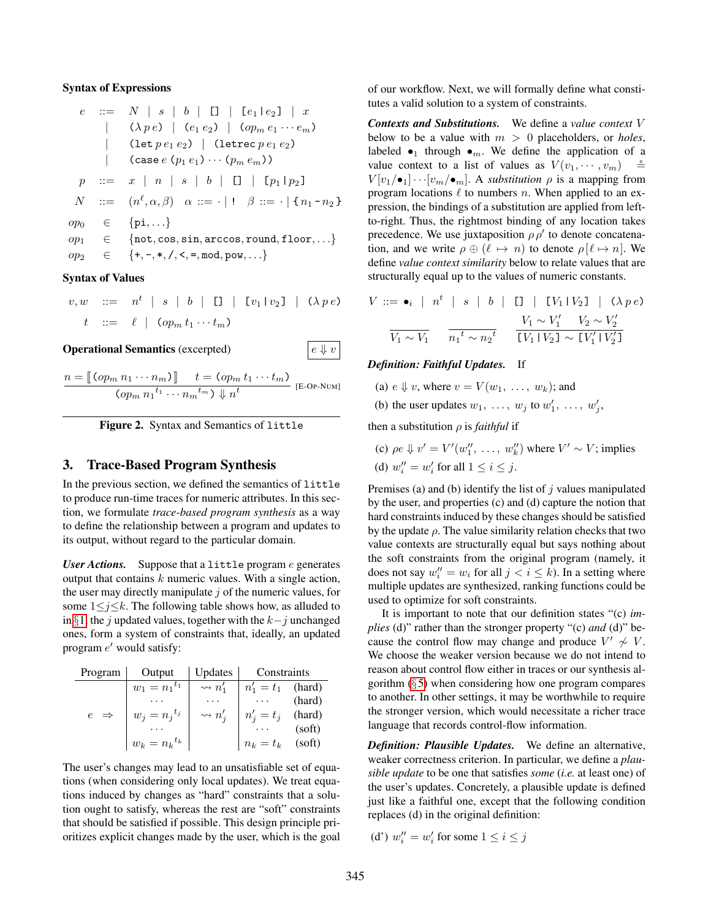#### Syntax of Expressions

$$
e ::= N | s | b | \Box | [e_1 | e_2] | x
$$
  
\n
$$
| (\lambda p e) | (e_1 e_2) | (op_m e_1 \cdots e_m)
$$
  
\n
$$
| (let p e_1 e_2) | (let \text{rec } p e_1 e_2)
$$
  
\n
$$
| (case (p_1 e_1) \cdots (p_m e_m))
$$
  
\n
$$
p ::= x | n | s | b | \Box | [p_1 | p_2]
$$
  
\n
$$
N ::= (n^{\ell}, \alpha, \beta) \alpha ::= \cdot | ! \beta ::= \cdot | \{n_1 - n_2\}
$$
  
\n
$$
op_0 \in \{pi, \dots\}
$$
  
\n
$$
op_1 \in \{not, \text{cos}, \text{sin}, \text{arccos}, \text{round}, \text{floor}, \dots\}
$$
  
\n
$$
op_2 \in \{+, -, *, /, \leq, \text{mod}, \text{pow}, \dots\}
$$

#### Syntax of Values

$$
v, w \quad ::= \quad n^t \mid s \mid b \mid \Box \mid [v_1 | v_2] \mid (\lambda p e)
$$
  

$$
t \quad ::= \quad \ell \mid (op_m t_1 \cdots t_m)
$$

**Operational Semantics** (excerpted)  $\begin{array}{ccc} e \Downarrow v \end{array}$ 

 $n = \llbracket (op_m n_1 \cdots n_m) \rrbracket \qquad t = (op_m t_1 \cdots t_m)$  $\overline{(op_m n_1^{t_1} \cdots n_m^{t_m}) \Downarrow n^t}$  [E-Op-Num]

<span id="page-4-1"></span>

# <span id="page-4-0"></span>3. Trace-Based Program Synthesis

In the previous section, we defined the semantics of little to produce run-time traces for numeric attributes. In this section, we formulate *trace-based program synthesis* as a way to define the relationship between a program and updates to its output, without regard to the particular domain.

*User Actions.* Suppose that a little program e generates output that contains  $k$  numeric values. With a single action, the user may directly manipulate  $j$  of the numeric values, for some  $1 \leq j \leq k$ . The following table shows how, as alluded to in §[1,](#page-0-0) the j updated values, together with the  $k-j$  unchanged ones, form a system of constraints that, ideally, an updated program  $e'$  would satisfy:

| Program         | Output            | Updates                   | Constraints         |        |
|-----------------|-------------------|---------------------------|---------------------|--------|
|                 | $w_1 = n_1^{t_1}$ | $\rightsquigarrow$ $n_1'$ | $n'_1 = t_1$ (hard) |        |
|                 |                   |                           |                     | (hard) |
| $e \Rightarrow$ | $w_j = n_i^{t_j}$ | $\rightsquigarrow$ $n'_i$ | $n'_i = t_j$        | (hard) |
|                 |                   |                           |                     | (soft) |
|                 | $w_k = n_k^{t_k}$ |                           | $n_k = t_k$         | (soft) |

The user's changes may lead to an unsatisfiable set of equations (when considering only local updates). We treat equations induced by changes as "hard" constraints that a solution ought to satisfy, whereas the rest are "soft" constraints that should be satisfied if possible. This design principle prioritizes explicit changes made by the user, which is the goal of our workflow. Next, we will formally define what constitutes a valid solution to a system of constraints.

*Contexts and Substitutions.* We define a *value context* V below to be a value with  $m > 0$  placeholders, or *holes*, labeled  $\bullet_1$  through  $\bullet_m$ . We define the application of a value context to a list of values as  $V(v_1, \dots, v_m)$  $V[v_1/\bullet_1]\cdots[v_m/\bullet_m]$ . A *substitution*  $\rho$  is a mapping from program locations  $\ell$  to numbers n. When applied to an expression, the bindings of a substitution are applied from leftto-right. Thus, the rightmost binding of any location takes precedence. We use juxtaposition  $\rho \rho'$  to denote concatenation, and we write  $\rho \oplus (\ell \mapsto n)$  to denote  $\rho[\ell \mapsto n]$ . We define *value context similarity* below to relate values that are structurally equal up to the values of numeric constants.

$$
V ::= \bullet_i \mid n^t \mid s \mid b \mid \Box \mid [V_1 | V_2] \mid (\lambda \ p \ e)
$$

$$
\frac{V_1 \sim V_1'}{V_1 \sim V_1} \frac{V_1 \sim V_1' \quad V_2 \sim V_2'}{[V_1 | V_2] \sim [V_1' | V_2']}
$$

#### *Definition: Faithful Updates.* If

- (a)  $e \Downarrow v$ , where  $v = V(w_1, \ldots, w_k)$ ; and
- (b) the user updates  $w_1, \ldots, w_j$  to  $w'_1, \ldots, w'_j$ ,

then a substitution ρ is *faithful* if

(c)  $\rho e \Downarrow v' = V'(w''_1, \ldots, w''_k)$  where  $V' \sim V$ ; implies (d)  $w_i'' = w_i'$  for all  $1 \le i \le j$ .

Premises (a) and (b) identify the list of  $j$  values manipulated by the user, and properties (c) and (d) capture the notion that hard constraints induced by these changes should be satisfied by the update  $\rho$ . The value similarity relation checks that two value contexts are structurally equal but says nothing about the soft constraints from the original program (namely, it does not say  $w_i'' = w_i$  for all  $j < i \leq k$ ). In a setting where multiple updates are synthesized, ranking functions could be used to optimize for soft constraints.

It is important to note that our definition states "(c) *implies* (d)" rather than the stronger property "(c) *and* (d)" because the control flow may change and produce  $V' \nsim V$ . We choose the weaker version because we do not intend to reason about control flow either in traces or our synthesis algorithm  $(\S 5)$  $(\S 5)$  when considering how one program compares to another. In other settings, it may be worthwhile to require the stronger version, which would necessitate a richer trace language that records control-flow information.

*Definition: Plausible Updates.* We define an alternative, weaker correctness criterion. In particular, we define a *plausible update* to be one that satisfies *some* (*i.e.* at least one) of the user's updates. Concretely, a plausible update is defined just like a faithful one, except that the following condition replaces (d) in the original definition:

(d')  $w_i'' = w_i'$  for some  $1 \le i \le j$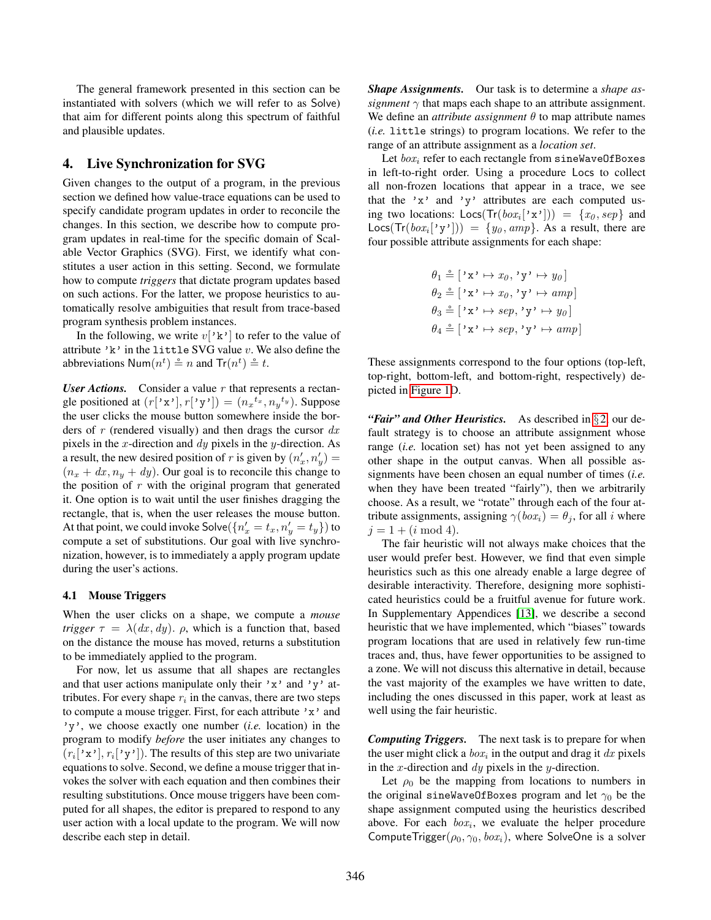The general framework presented in this section can be instantiated with solvers (which we will refer to as Solve) that aim for different points along this spectrum of faithful and plausible updates.

## <span id="page-5-0"></span>4. Live Synchronization for SVG

Given changes to the output of a program, in the previous section we defined how value-trace equations can be used to specify candidate program updates in order to reconcile the changes. In this section, we describe how to compute program updates in real-time for the specific domain of Scalable Vector Graphics (SVG). First, we identify what constitutes a user action in this setting. Second, we formulate how to compute *triggers* that dictate program updates based on such actions. For the latter, we propose heuristics to automatically resolve ambiguities that result from trace-based program synthesis problem instances.

In the following, we write  $v['k']$  to refer to the value of attribute 'k' in the little SVG value  $v$ . We also define the abbreviations  $\textsf{Num}(n^t) \triangleq n$  and  $\textsf{Tr}(n^t) \triangleq t$ .

*User Actions.* Consider a value  $r$  that represents a rectangle positioned at  $(r['x'], r['y')] = (n_x^{tx}, n_y^{ty})$ . Suppose the user clicks the mouse button somewhere inside the borders of r (rendered visually) and then drags the cursor  $dx$ pixels in the x-direction and  $dy$  pixels in the y-direction. As a result, the new desired position of r is given by  $(n'_x, n'_y)$  =  $(n_x + dx, n_y + dy)$ . Our goal is to reconcile this change to the position of  $r$  with the original program that generated it. One option is to wait until the user finishes dragging the rectangle, that is, when the user releases the mouse button. At that point, we could invoke Solve $(\lbrace n'_x = t_x, n'_y = t_y \rbrace)$  to compute a set of substitutions. Our goal with live synchronization, however, is to immediately a apply program update during the user's actions.

#### 4.1 Mouse Triggers

When the user clicks on a shape, we compute a *mouse trigger*  $\tau = \lambda(dx, dy)$ .  $\rho$ , which is a function that, based on the distance the mouse has moved, returns a substitution to be immediately applied to the program.

For now, let us assume that all shapes are rectangles and that user actions manipulate only their 'x' and 'y' attributes. For every shape  $r_i$  in the canvas, there are two steps to compute a mouse trigger. First, for each attribute 'x' and 'y', we choose exactly one number (*i.e.* location) in the program to modify *before* the user initiates any changes to  $(r_i['x'], r_i['y']).$  The results of this step are two univariate equations to solve. Second, we define a mouse trigger that invokes the solver with each equation and then combines their resulting substitutions. Once mouse triggers have been computed for all shapes, the editor is prepared to respond to any user action with a local update to the program. We will now describe each step in detail.

*Shape Assignments.* Our task is to determine a *shape assignment*  $\gamma$  that maps each shape to an attribute assignment. We define an *attribute assignment*  $\theta$  to map attribute names (*i.e.* little strings) to program locations. We refer to the range of an attribute assignment as a *location set*.

Let  $box_i$  refer to each rectangle from sineWaveOfBoxes in left-to-right order. Using a procedure Locs to collect all non-frozen locations that appear in a trace, we see that the 'x' and 'y' attributes are each computed using two locations:  $\text{Locs}(\text{Tr}(box_i'[\text{'}x')] ) = \{x_0, sep\}$  and  $\textsf{Locs}(\textsf{Tr}(box_i['y']) = \{y_0, amp\}.$  As a result, there are four possible attribute assignments for each shape:

$$
\theta_1 \triangleq [\mathbf{x} \times \mathbf{x} \times \mathbf{x} \times \mathbf{y} \times \mathbf{y} \times \mathbf{y} \times \mathbf{y} \times \mathbf{y} \times \mathbf{y} \times \mathbf{y} \times \mathbf{y} \times \mathbf{y} \times \mathbf{y} \times \mathbf{y} \times \mathbf{y} \times \mathbf{y} \times \mathbf{y} \times \mathbf{y} \times \mathbf{y} \times \mathbf{y} \times \mathbf{y} \times \mathbf{y} \times \mathbf{y} \times \mathbf{y} \times \mathbf{y} \times \mathbf{y} \times \mathbf{y} \times \mathbf{y} \times \mathbf{y} \times \mathbf{y} \times \mathbf{y} \times \mathbf{y} \times \mathbf{y} \times \mathbf{y} \times \mathbf{y} \times \mathbf{y} \times \mathbf{y} \times \mathbf{y} \times \mathbf{y} \times \mathbf{y} \times \mathbf{y} \times \mathbf{y} \times \mathbf{y} \times \mathbf{y} \times \mathbf{y} \times \mathbf{y} \times \mathbf{y} \times \mathbf{y} \times \mathbf{y} \times \mathbf{y} \times \mathbf{y} \times \mathbf{y} \times \mathbf{y} \times \mathbf{y} \times \mathbf{y} \times \mathbf{y} \times \mathbf{y} \times \mathbf{y} \times \mathbf{y} \times \mathbf{y} \times \mathbf{y} \times \mathbf{y} \times \mathbf{y} \times \mathbf{y} \times \mathbf{y} \times \mathbf{y} \times \mathbf{y} \times \mathbf{y} \times \mathbf{y} \times \mathbf{y} \times \mathbf{y} \times \mathbf{y} \times \mathbf{y} \times \mathbf{y} \times \mathbf{y} \times \mathbf{y} \times \mathbf{y} \times \mathbf{y} \times \mathbf{y} \times \mathbf{y} \times \mathbf{y} \times \mathbf{y} \times \mathbf{y} \times \mathbf{y} \times \mathbf{y} \times \mathbf{y} \times \mathbf{y} \times \mathbf{y} \times \mathbf{y} \times \mathbf{y} \times \mathbf{y} \times \mathbf{y} \times \mathbf{y} \times \mathbf{y} \times \mathbf{
$$

These assignments correspond to the four options (top-left, top-right, bottom-left, and bottom-right, respectively) depicted in [Figure 1D](#page-2-0).

*"Fair" and Other Heuristics.* As described in §[2,](#page-1-0) our default strategy is to choose an attribute assignment whose range (*i.e.* location set) has not yet been assigned to any other shape in the output canvas. When all possible assignments have been chosen an equal number of times (*i.e.* when they have been treated "fairly"), then we arbitrarily choose. As a result, we "rotate" through each of the four attribute assignments, assigning  $\gamma(box_i) = \theta_i$ , for all i where  $j = 1 + (i \mod 4).$ 

The fair heuristic will not always make choices that the user would prefer best. However, we find that even simple heuristics such as this one already enable a large degree of desirable interactivity. Therefore, designing more sophisticated heuristics could be a fruitful avenue for future work. In Supplementary Appendices [\[13\]](#page-13-5), we describe a second heuristic that we have implemented, which "biases" towards program locations that are used in relatively few run-time traces and, thus, have fewer opportunities to be assigned to a zone. We will not discuss this alternative in detail, because the vast majority of the examples we have written to date, including the ones discussed in this paper, work at least as well using the fair heuristic.

*Computing Triggers.* The next task is to prepare for when the user might click a  $box_i$  in the output and drag it  $dx$  pixels in the x-direction and  $dy$  pixels in the y-direction.

Let  $\rho_0$  be the mapping from locations to numbers in the original sineWaveOfBoxes program and let  $\gamma_0$  be the shape assignment computed using the heuristics described above. For each  $box_i$ , we evaluate the helper procedure ComputeTrigger( $\rho_0$ ,  $\gamma_0$ ,  $box_i$ ), where SolveOne is a solver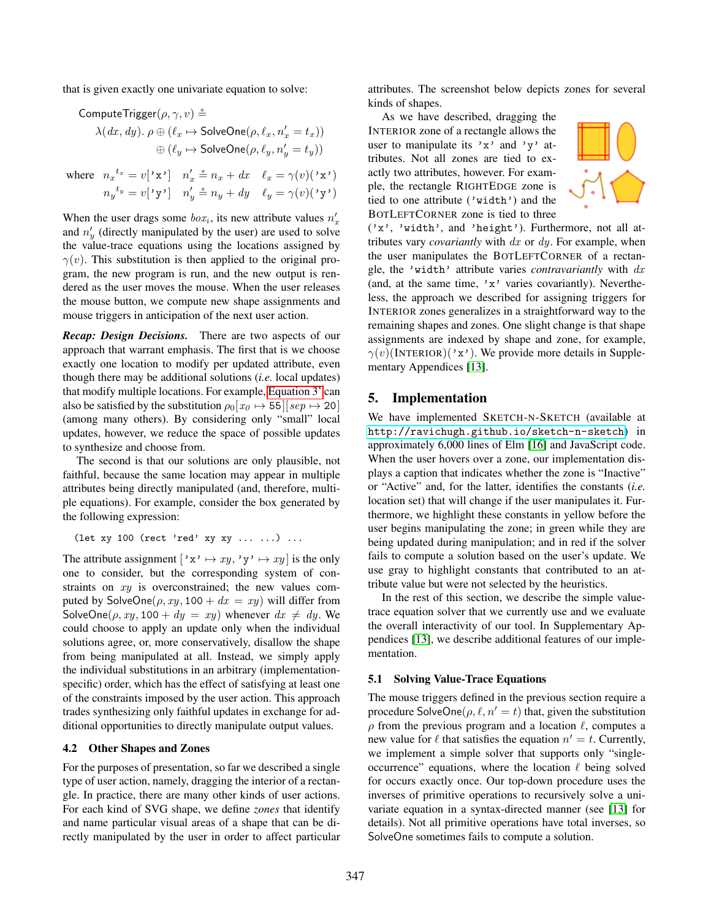that is given exactly one univariate equation to solve:

$$
\begin{aligned} \mathsf{ComputeTrigger}(\rho, \gamma, v) \xrightarrow{\scriptscriptstyle{\triangle}} \\ \lambda(dx, dy). \ \rho \oplus (\ell_x \mapsto \mathsf{SolveOne}(\rho, \ell_x, n_x' = t_x)) \\ \oplus (\ell_y \mapsto \mathsf{SolveOne}(\rho, \ell_y, n_y' = t_y)) \end{aligned}
$$

where  $n_x^{t_x} = v['x']$   $n'_x \triangleq n_x + dx$   $\ell_x = \gamma(v)(\mathbf{x})$  $n_y^{\ t_y} = v[\prime \mathbf{y'}] \quad n_y' \triangleq n_y + dy \quad \ell_y = \gamma(v)(\prime \mathbf{y'})$ 

When the user drags some  $box_i$ , its new attribute values  $n'_x$ and  $n'_y$  (directly manipulated by the user) are used to solve the value-trace equations using the locations assigned by  $\gamma(v)$ . This substitution is then applied to the original program, the new program is run, and the new output is rendered as the user moves the mouse. When the user releases the mouse button, we compute new shape assignments and mouse triggers in anticipation of the next user action.

*Recap: Design Decisions.* There are two aspects of our approach that warrant emphasis. The first that is we choose exactly one location to modify per updated attribute, even though there may be additional solutions (*i.e.* local updates) that modify multiple locations. For example, [Equation 3'](#page-3-0) can also be satisfied by the substitution  $\rho_0[x_0 \mapsto 55][sep \mapsto 20]$ (among many others). By considering only "small" local updates, however, we reduce the space of possible updates to synthesize and choose from.

The second is that our solutions are only plausible, not faithful, because the same location may appear in multiple attributes being directly manipulated (and, therefore, multiple equations). For example, consider the box generated by the following expression:

(let xy 100 (rect 'red' xy xy ... ...) ...

The attribute assignment  $['x' \mapsto xy, 'y' \mapsto xy]$  is the only one to consider, but the corresponding system of constraints on xy is overconstrained; the new values computed by SolveOne( $\rho$ , xy, 100 + dx = xy) will differ from SolveOne( $\rho, xy, 100 + dy = xy$ ) whenever  $dx \neq dy$ . We could choose to apply an update only when the individual solutions agree, or, more conservatively, disallow the shape from being manipulated at all. Instead, we simply apply the individual substitutions in an arbitrary (implementationspecific) order, which has the effect of satisfying at least one of the constraints imposed by the user action. This approach trades synthesizing only faithful updates in exchange for additional opportunities to directly manipulate output values.

#### 4.2 Other Shapes and Zones

For the purposes of presentation, so far we described a single type of user action, namely, dragging the interior of a rectangle. In practice, there are many other kinds of user actions. For each kind of SVG shape, we define *zones* that identify and name particular visual areas of a shape that can be directly manipulated by the user in order to affect particular

attributes. The screenshot below depicts zones for several kinds of shapes.

As we have described, dragging the INTERIOR zone of a rectangle allows the user to manipulate its 'x' and 'y' attributes. Not all zones are tied to exactly two attributes, however. For example, the rectangle RIGHTEDGE zone is tied to one attribute ('width') and the BOTLEFTCORNER zone is tied to three



('x', 'width', and 'height'). Furthermore, not all attributes vary *covariantly* with dx or dy. For example, when the user manipulates the BOTLEFTCORNER of a rectangle, the 'width' attribute varies *contravariantly* with dx (and, at the same time, 'x' varies covariantly). Nevertheless, the approach we described for assigning triggers for INTERIOR zones generalizes in a straightforward way to the remaining shapes and zones. One slight change is that shape assignments are indexed by shape and zone, for example,  $\gamma(v)$ (INTERIOR)('x'). We provide more details in Supplementary Appendices [\[13\]](#page-13-5).

#### <span id="page-6-0"></span>5. Implementation

We have implemented SKETCH-N-SKETCH (available at <http://ravichugh.github.io/sketch-n-sketch>) in approximately 6,000 lines of Elm [\[16\]](#page-13-6) and JavaScript code. When the user hovers over a zone, our implementation displays a caption that indicates whether the zone is "Inactive" or "Active" and, for the latter, identifies the constants (*i.e.* location set) that will change if the user manipulates it. Furthermore, we highlight these constants in yellow before the user begins manipulating the zone; in green while they are being updated during manipulation; and in red if the solver fails to compute a solution based on the user's update. We use gray to highlight constants that contributed to an attribute value but were not selected by the heuristics.

In the rest of this section, we describe the simple valuetrace equation solver that we currently use and we evaluate the overall interactivity of our tool. In Supplementary Appendices [\[13\]](#page-13-5), we describe additional features of our implementation.

#### 5.1 Solving Value-Trace Equations

The mouse triggers defined in the previous section require a procedure SolveOne( $\rho, \ell, n' = t$ ) that, given the substitution  $\rho$  from the previous program and a location  $\ell$ , computes a new value for  $\ell$  that satisfies the equation  $n' = t$ . Currently, we implement a simple solver that supports only "singleoccurrence" equations, where the location  $\ell$  being solved for occurs exactly once. Our top-down procedure uses the inverses of primitive operations to recursively solve a univariate equation in a syntax-directed manner (see [\[13\]](#page-13-5) for details). Not all primitive operations have total inverses, so SolveOne sometimes fails to compute a solution.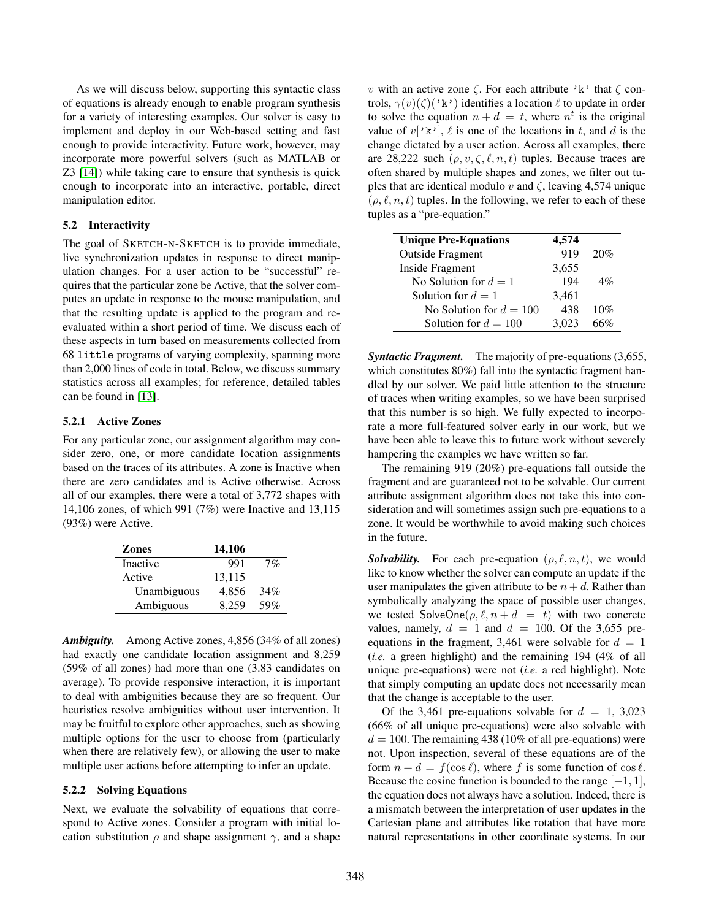As we will discuss below, supporting this syntactic class of equations is already enough to enable program synthesis for a variety of interesting examples. Our solver is easy to implement and deploy in our Web-based setting and fast enough to provide interactivity. Future work, however, may incorporate more powerful solvers (such as MATLAB or Z3 [\[14\]](#page-13-7)) while taking care to ensure that synthesis is quick enough to incorporate into an interactive, portable, direct manipulation editor.

### 5.2 Interactivity

The goal of SKETCH-N-SKETCH is to provide immediate, live synchronization updates in response to direct manipulation changes. For a user action to be "successful" requires that the particular zone be Active, that the solver computes an update in response to the mouse manipulation, and that the resulting update is applied to the program and reevaluated within a short period of time. We discuss each of these aspects in turn based on measurements collected from 68 little programs of varying complexity, spanning more than 2,000 lines of code in total. Below, we discuss summary statistics across all examples; for reference, detailed tables can be found in [\[13\]](#page-13-5).

## 5.2.1 Active Zones

For any particular zone, our assignment algorithm may consider zero, one, or more candidate location assignments based on the traces of its attributes. A zone is Inactive when there are zero candidates and is Active otherwise. Across all of our examples, there were a total of 3,772 shapes with 14,106 zones, of which 991 (7%) were Inactive and 13,115 (93%) were Active.

| <b>Zones</b> | 14,106 |     |
|--------------|--------|-----|
| Inactive     | 991    | 7%  |
| Active       | 13,115 |     |
| Unambiguous  | 4.856  | 34% |
| Ambiguous    | 8.259  | 59% |

*Ambiguity.* Among Active zones, 4,856 (34% of all zones) had exactly one candidate location assignment and 8,259 (59% of all zones) had more than one (3.83 candidates on average). To provide responsive interaction, it is important to deal with ambiguities because they are so frequent. Our heuristics resolve ambiguities without user intervention. It may be fruitful to explore other approaches, such as showing multiple options for the user to choose from (particularly when there are relatively few), or allowing the user to make multiple user actions before attempting to infer an update.

#### 5.2.2 Solving Equations

Next, we evaluate the solvability of equations that correspond to Active zones. Consider a program with initial location substitution  $\rho$  and shape assignment  $\gamma$ , and a shape

v with an active zone  $\zeta$ . For each attribute 'k' that  $\zeta$  controls,  $\gamma(v)(\zeta)(\kappa)$  identifies a location  $\ell$  to update in order to solve the equation  $n + d = t$ , where  $n<sup>t</sup>$  is the original value of  $v['k']$ ,  $\ell$  is one of the locations in t, and d is the change dictated by a user action. Across all examples, there are 28,222 such  $(\rho, v, \zeta, \ell, n, t)$  tuples. Because traces are often shared by multiple shapes and zones, we filter out tuples that are identical modulo v and  $\zeta$ , leaving 4,574 unique  $(\rho, \ell, n, t)$  tuples. In the following, we refer to each of these tuples as a "pre-equation."

| <b>Unique Pre-Equations</b> | 4,574 |     |
|-----------------------------|-------|-----|
| <b>Outside Fragment</b>     | 919   | 20% |
| Inside Fragment             | 3,655 |     |
| No Solution for $d=1$       | 194   | 4%  |
| Solution for $d=1$          | 3,461 |     |
| No Solution for $d = 100$   | 438   | 10% |
| Solution for $d = 100$      | 3,023 | 66% |

*Syntactic Fragment.* The majority of pre-equations (3,655, which constitutes 80%) fall into the syntactic fragment handled by our solver. We paid little attention to the structure of traces when writing examples, so we have been surprised that this number is so high. We fully expected to incorporate a more full-featured solver early in our work, but we have been able to leave this to future work without severely hampering the examples we have written so far.

The remaining 919 (20%) pre-equations fall outside the fragment and are guaranteed not to be solvable. Our current attribute assignment algorithm does not take this into consideration and will sometimes assign such pre-equations to a zone. It would be worthwhile to avoid making such choices in the future.

<span id="page-7-0"></span>*Solvability.* For each pre-equation  $(\rho, \ell, n, t)$ , we would like to know whether the solver can compute an update if the user manipulates the given attribute to be  $n + d$ . Rather than symbolically analyzing the space of possible user changes, we tested  $SolveOne(\rho, \ell, n + d = t)$  with two concrete values, namely,  $d = 1$  and  $d = 100$ . Of the 3,655 preequations in the fragment, 3,461 were solvable for  $d = 1$ (*i.e.* a green highlight) and the remaining 194 (4% of all unique pre-equations) were not (*i.e.* a red highlight). Note that simply computing an update does not necessarily mean that the change is acceptable to the user.

Of the 3,461 pre-equations solvable for  $d = 1, 3,023$ (66% of all unique pre-equations) were also solvable with  $d = 100$ . The remaining 438 (10% of all pre-equations) were not. Upon inspection, several of these equations are of the form  $n + d = f(\cos \ell)$ , where f is some function of  $\cos \ell$ . Because the cosine function is bounded to the range  $[-1, 1]$ , the equation does not always have a solution. Indeed, there is a mismatch between the interpretation of user updates in the Cartesian plane and attributes like rotation that have more natural representations in other coordinate systems. In our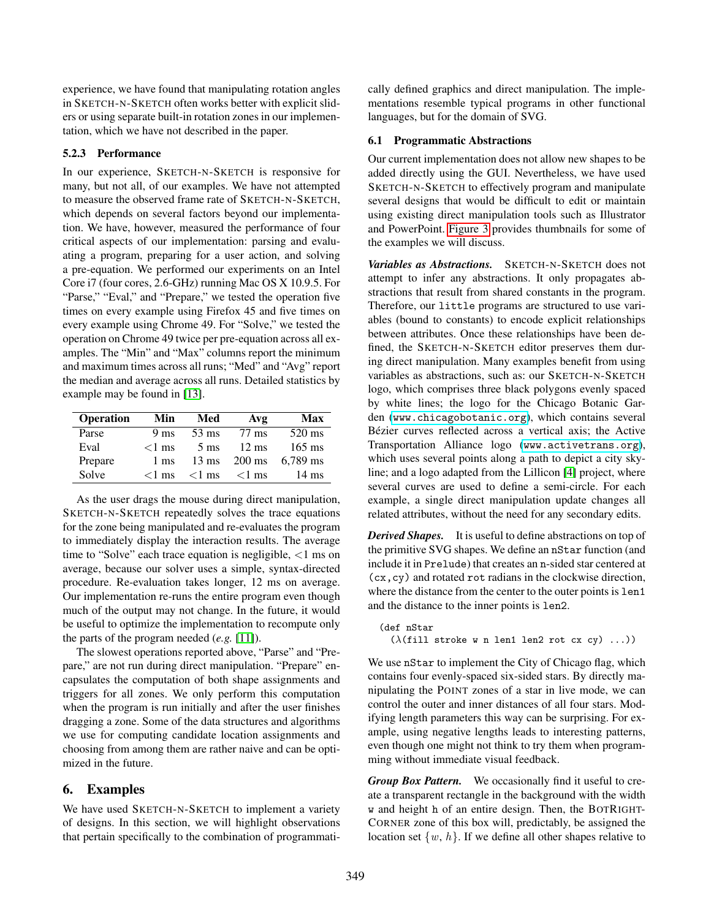experience, we have found that manipulating rotation angles in SKETCH-N-SKETCH often works better with explicit sliders or using separate built-in rotation zones in our implementation, which we have not described in the paper.

## 5.2.3 Performance

In our experience, SKETCH-N-SKETCH is responsive for many, but not all, of our examples. We have not attempted to measure the observed frame rate of SKETCH-N-SKETCH, which depends on several factors beyond our implementation. We have, however, measured the performance of four critical aspects of our implementation: parsing and evaluating a program, preparing for a user action, and solving a pre-equation. We performed our experiments on an Intel Core i7 (four cores, 2.6-GHz) running Mac OS X 10.9.5. For "Parse," "Eval," and "Prepare," we tested the operation five times on every example using Firefox 45 and five times on every example using Chrome 49. For "Solve," we tested the operation on Chrome 49 twice per pre-equation across all examples. The "Min" and "Max" columns report the minimum and maximum times across all runs; "Med" and "Avg" report the median and average across all runs. Detailed statistics by example may be found in [\[13\]](#page-13-5).

| <b>Operation</b> | Min             | Med             | Avg              | Max             |
|------------------|-----------------|-----------------|------------------|-----------------|
| Parse            | 9 <sub>ms</sub> | $53 \text{ ms}$ | 77 ms            | 520 ms          |
| Eval             | $<1$ ms         | $5 \text{ ms}$  | $12 \text{ ms}$  | $165$ ms        |
| Prepare          | 1 ms            | $13 \text{ ms}$ | $200 \text{ ms}$ | $6.789$ ms      |
| Solve            | $<$ 1 ms        | $<$ 1 ms        | $<$ 1 ms         | $14 \text{ ms}$ |

As the user drags the mouse during direct manipulation, SKETCH-N-SKETCH repeatedly solves the trace equations for the zone being manipulated and re-evaluates the program to immediately display the interaction results. The average time to "Solve" each trace equation is negligible, <1 ms on average, because our solver uses a simple, syntax-directed procedure. Re-evaluation takes longer, 12 ms on average. Our implementation re-runs the entire program even though much of the output may not change. In the future, it would be useful to optimize the implementation to recompute only the parts of the program needed (*e.g.* [\[11\]](#page-13-8)).

The slowest operations reported above, "Parse" and "Prepare," are not run during direct manipulation. "Prepare" encapsulates the computation of both shape assignments and triggers for all zones. We only perform this computation when the program is run initially and after the user finishes dragging a zone. Some of the data structures and algorithms we use for computing candidate location assignments and choosing from among them are rather naive and can be optimized in the future.

# <span id="page-8-0"></span>6. Examples

We have used SKETCH-N-SKETCH to implement a variety of designs. In this section, we will highlight observations that pertain specifically to the combination of programmatically defined graphics and direct manipulation. The implementations resemble typical programs in other functional languages, but for the domain of SVG.

## 6.1 Programmatic Abstractions

Our current implementation does not allow new shapes to be added directly using the GUI. Nevertheless, we have used SKETCH-N-SKETCH to effectively program and manipulate several designs that would be difficult to edit or maintain using existing direct manipulation tools such as Illustrator and PowerPoint. [Figure 3](#page-9-0) provides thumbnails for some of the examples we will discuss.

*Variables as Abstractions.* SKETCH-N-SKETCH does not attempt to infer any abstractions. It only propagates abstractions that result from shared constants in the program. Therefore, our little programs are structured to use variables (bound to constants) to encode explicit relationships between attributes. Once these relationships have been defined, the SKETCH-N-SKETCH editor preserves them during direct manipulation. Many examples benefit from using variables as abstractions, such as: our SKETCH-N-SKETCH logo, which comprises three black polygons evenly spaced by white lines; the logo for the Chicago Botanic Garden (<www.chicagobotanic.org>), which contains several Bézier curves reflected across a vertical axis; the Active Transportation Alliance logo (<www.activetrans.org>), which uses several points along a path to depict a city skyline; and a logo adapted from the Lillicon [\[4\]](#page-12-1) project, where several curves are used to define a semi-circle. For each example, a single direct manipulation update changes all related attributes, without the need for any secondary edits.

*Derived Shapes.* It is useful to define abstractions on top of the primitive SVG shapes. We define an nStar function (and include it in Prelude) that creates an n-sided star centered at (cx,cy) and rotated rot radians in the clockwise direction, where the distance from the center to the outer points is  $l$ en1 and the distance to the inner points is len2.

(def nStar  $(\lambda(fill$  stroke w n len1 len2 rot cx cy) ...))

We use nStar to implement the City of Chicago flag, which contains four evenly-spaced six-sided stars. By directly manipulating the POINT zones of a star in live mode, we can control the outer and inner distances of all four stars. Modifying length parameters this way can be surprising. For example, using negative lengths leads to interesting patterns, even though one might not think to try them when programming without immediate visual feedback.

*Group Box Pattern.* We occasionally find it useful to create a transparent rectangle in the background with the width w and height h of an entire design. Then, the BOTRIGHT-CORNER zone of this box will, predictably, be assigned the location set  $\{w, h\}$ . If we define all other shapes relative to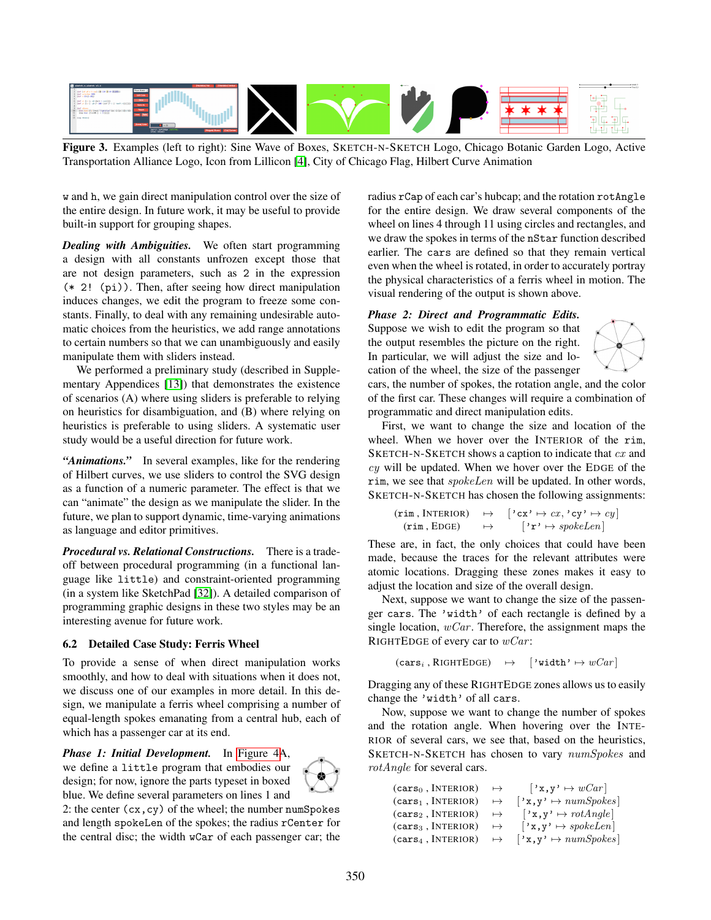

<span id="page-9-0"></span>Figure 3. Examples (left to right): Sine Wave of Boxes, SKETCH-N-SKETCH Logo, Chicago Botanic Garden Logo, Active Transportation Alliance Logo, Icon from Lillicon [\[4\]](#page-12-1), City of Chicago Flag, Hilbert Curve Animation

w and h, we gain direct manipulation control over the size of the entire design. In future work, it may be useful to provide built-in support for grouping shapes.

*Dealing with Ambiguities.* We often start programming a design with all constants unfrozen except those that are not design parameters, such as 2 in the expression (\* 2! (pi)). Then, after seeing how direct manipulation induces changes, we edit the program to freeze some constants. Finally, to deal with any remaining undesirable automatic choices from the heuristics, we add range annotations to certain numbers so that we can unambiguously and easily manipulate them with sliders instead.

We performed a preliminary study (described in Supplementary Appendices [\[13\]](#page-13-5)) that demonstrates the existence of scenarios (A) where using sliders is preferable to relying on heuristics for disambiguation, and (B) where relying on heuristics is preferable to using sliders. A systematic user study would be a useful direction for future work.

*"Animations."* In several examples, like for the rendering of Hilbert curves, we use sliders to control the SVG design as a function of a numeric parameter. The effect is that we can "animate" the design as we manipulate the slider. In the future, we plan to support dynamic, time-varying animations as language and editor primitives.

*Procedural vs. Relational Constructions.* There is a tradeoff between procedural programming (in a functional language like little) and constraint-oriented programming (in a system like SketchPad [\[32\]](#page-13-9)). A detailed comparison of programming graphic designs in these two styles may be an interesting avenue for future work.

## 6.2 Detailed Case Study: Ferris Wheel

To provide a sense of when direct manipulation works smoothly, and how to deal with situations when it does not, we discuss one of our examples in more detail. In this design, we manipulate a ferris wheel comprising a number of equal-length spokes emanating from a central hub, each of which has a passenger car at its end.

*Phase 1: Initial Development.* In [Figure 4A](#page-10-0), we define a little program that embodies our design; for now, ignore the parts typeset in boxed blue. We define several parameters on lines 1 and

2: the center  $(cx, cy)$  of the wheel; the number numSpokes and length spokeLen of the spokes; the radius rCenter for the central disc; the width wCar of each passenger car; the radius rCap of each car's hubcap; and the rotation rotAngle for the entire design. We draw several components of the wheel on lines 4 through 11 using circles and rectangles, and we draw the spokes in terms of the nStar function described earlier. The cars are defined so that they remain vertical even when the wheel is rotated, in order to accurately portray the physical characteristics of a ferris wheel in motion. The visual rendering of the output is shown above.

## *Phase 2: Direct and Programmatic Edits.*

Suppose we wish to edit the program so that the output resembles the picture on the right. In particular, we will adjust the size and location of the wheel, the size of the passenger



cars, the number of spokes, the rotation angle, and the color of the first car. These changes will require a combination of programmatic and direct manipulation edits.

First, we want to change the size and location of the wheel. When we hover over the INTERIOR of the rim, SKETCH-N-SKETCH shows a caption to indicate that cx and  $cy$  will be updated. When we hover over the EDGE of the rim, we see that spokeLen will be updated. In other words, SKETCH-N-SKETCH has chosen the following assignments:

$$
(\mathbf{rim}, \text{INTERIOR}) \rightarrow [\text{'cx'} \mapsto cx, \text{'cy'} \mapsto cy] \n(\mathbf{rim}, \text{EDGE}) \rightarrow [\text{'r'} \mapsto spokeLen]
$$

These are, in fact, the only choices that could have been made, because the traces for the relevant attributes were atomic locations. Dragging these zones makes it easy to adjust the location and size of the overall design.

Next, suppose we want to change the size of the passenger cars. The 'width' of each rectangle is defined by a single location,  $wCar$ . Therefore, the assignment maps the RIGHTEDGE of every car to  $wCar$ :

```
(cars_i, RIGHTEDGE) \rightarrow \{'width' \mapsto wCar \}
```
Dragging any of these RIGHTEDGE zones allows us to easily change the 'width' of all cars.

Now, suppose we want to change the number of spokes and the rotation angle. When hovering over the INTE-RIOR of several cars, we see that, based on the heuristics, SKETCH-N-SKETCH has chosen to vary numSpokes and rotAngle for several cars.

| (cars <sub>0</sub> , INTERIOR) | $\mapsto$ | $\vert x,y' \mapsto wCar \vert$                                    |
|--------------------------------|-----------|--------------------------------------------------------------------|
| (cars <sub>1</sub> , INTERIOR) | $\mapsto$ | $\vert x,y \rangle \mapsto \textit{numSpokes}$                     |
| (cars <sub>2</sub> , INTERIOR) | $\mapsto$ | $[\cdot \mathbf{x}, \mathbf{y} \rangle \mapsto \mathit{rotAngle}]$ |
| (cars <sub>3</sub> , INTERIOR) | $\mapsto$ | $ \cdot \mathbf{x}, \mathbf{y} \rangle \mapsto \text{spokeLen}$    |
| (cars <sub>4</sub> , INTERIOR) | $\mapsto$ | $[\cdot \mathbf{x}, \mathbf{y} \cdot \mapsto \textit{numSpokes}]$  |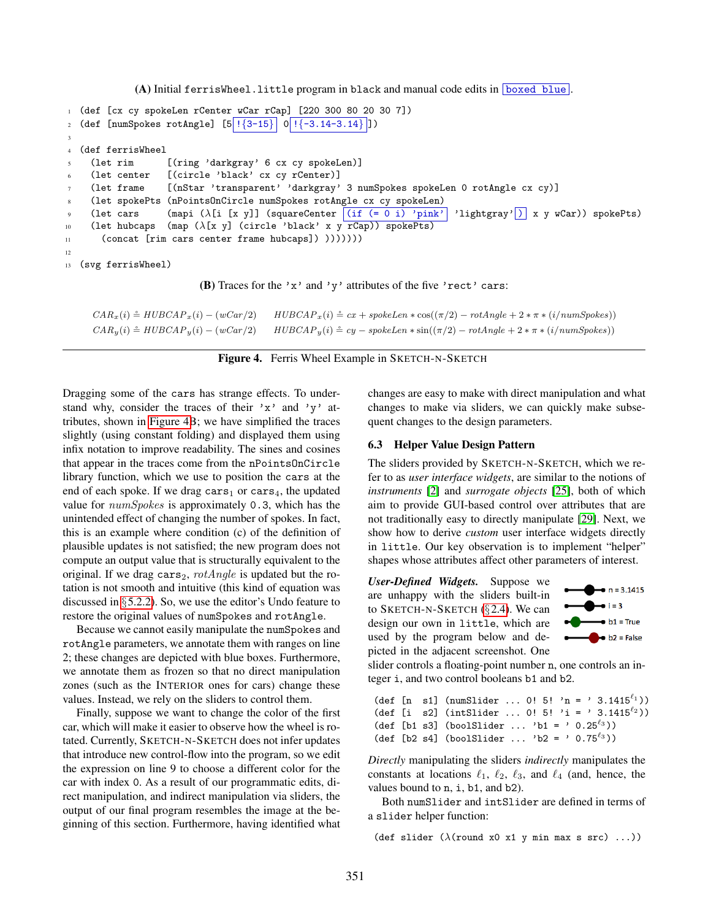$(A)$  Initial ferrisWheel.little program in black and manual code edits in boxed blue.

```
1 (def [cx cy spokeLen rCenter wCar rCap] [220 300 80 20 30 7])
2 (def [numSpokes rotAngle] [5] \{3-15\} 0 \{(-3.14-3.14\})])
3
4 (def ferrisWheel
    5 (let rim [(ring 'darkgray' 6 cx cy spokeLen)]
    (let center [(circle 'black' cx cy rCenter)]
    7 (let frame [(nStar 'transparent' 'darkgray' 3 numSpokes spokeLen 0 rotAngle cx cy)]
8 (let spokePts (nPointsOnCircle numSpokes rotAngle cx cy spokeLen)
9 (let cars (mapi (λ[i [x y]] (squareCenter (if (= 0 i) 'pink' | 'lightgray' | x y wCar)) spokePts)
10 (let hubcaps (map (\lambda[x \ y] (circle 'black' x y rCap)) spokePts)
11 (concat [rim cars center frame hubcaps]) )))))))
12
13 (svg ferrisWheel)
```
(B) Traces for the 'x' and 'y' attributes of the five 'rect' cars:

 $CAR_x(i) \triangleq HUBCAP_x(i) - (wCar/2)$   $HUBCAP_x(i) \triangleq cx + spokeLen * \cos((\pi/2) - rotAngle + 2 * \pi * (i/numSpokes))$  $CAR_y(i) \triangleq HUBCAP_y(i) - (wCar/2)$   $HUBCAP_y(i) \triangleq cy - spokeLen * \sin((\pi/2) - rotAngle + 2 * \pi * (i/numSpokes))$ 

<span id="page-10-0"></span>Figure 4. Ferris Wheel Example in SKETCH-N-SKETCH

Dragging some of the cars has strange effects. To understand why, consider the traces of their 'x' and 'y' attributes, shown in [Figure 4B](#page-10-0); we have simplified the traces slightly (using constant folding) and displayed them using infix notation to improve readability. The sines and cosines that appear in the traces come from the nPointsOnCircle library function, which we use to position the cars at the end of each spoke. If we drag cars<sub>1</sub> or cars<sub>4</sub>, the updated value for numSpokes is approximately 0.3, which has the unintended effect of changing the number of spokes. In fact, this is an example where condition (c) of the definition of plausible updates is not satisfied; the new program does not compute an output value that is structurally equivalent to the original. If we drag cars<sub>2</sub>,  $rotAngle$  is updated but the rotation is not smooth and intuitive (this kind of equation was discussed in §[5.2.2\)](#page-7-0). So, we use the editor's Undo feature to restore the original values of numSpokes and rotAngle.

Because we cannot easily manipulate the numSpokes and rotAngle parameters, we annotate them with ranges on line 2; these changes are depicted with blue boxes. Furthermore, we annotate them as frozen so that no direct manipulation zones (such as the INTERIOR ones for cars) change these values. Instead, we rely on the sliders to control them.

Finally, suppose we want to change the color of the first car, which will make it easier to observe how the wheel is rotated. Currently, SKETCH-N-SKETCH does not infer updates that introduce new control-flow into the program, so we edit the expression on line 9 to choose a different color for the car with index 0. As a result of our programmatic edits, direct manipulation, and indirect manipulation via sliders, the output of our final program resembles the image at the beginning of this section. Furthermore, having identified what changes are easy to make with direct manipulation and what changes to make via sliders, we can quickly make subsequent changes to the design parameters.

## 6.3 Helper Value Design Pattern

The sliders provided by SKETCH-N-SKETCH, which we refer to as *user interface widgets*, are similar to the notions of *instruments* [\[2\]](#page-12-2) and *surrogate objects* [\[25\]](#page-13-10), both of which aim to provide GUI-based control over attributes that are not traditionally easy to directly manipulate [\[29\]](#page-13-0). Next, we show how to derive *custom* user interface widgets directly in little. Our key observation is to implement "helper" shapes whose attributes affect other parameters of interest.

*User-Defined Widgets.* Suppose we are unhappy with the sliders built-in to SKETCH-N-SKETCH  $(\S 2.4)$  $(\S 2.4)$ . We can design our own in little, which are used by the program below and depicted in the adjacent screenshot. One



slider controls a floating-point number n, one controls an integer i, and two control booleans b1 and b2.

(def [n s1] (numSlider ... 0! 5! 'n = ' 3.1415 $^{(\ell_1)}$ ) (def [i s2] (intSlider ... 0!  $5!$  'i = ' 3.1415 $^{l_2}$ )) (def [b1 s3] (boolSlider ... 'b1 = '  $0.25^{\ell_3}$ )) (def [b2 s4] (boolSlider ... 'b2 = '  $0.75^{\ell_3}$ ))

*Directly* manipulating the sliders *indirectly* manipulates the constants at locations  $\ell_1$ ,  $\ell_2$ ,  $\ell_3$ , and  $\ell_4$  (and, hence, the values bound to n, i, b1, and b2).

Both numSlider and intSlider are defined in terms of a slider helper function:

(def slider  $(\lambda$ (round x0 x1 y min max s src) ...))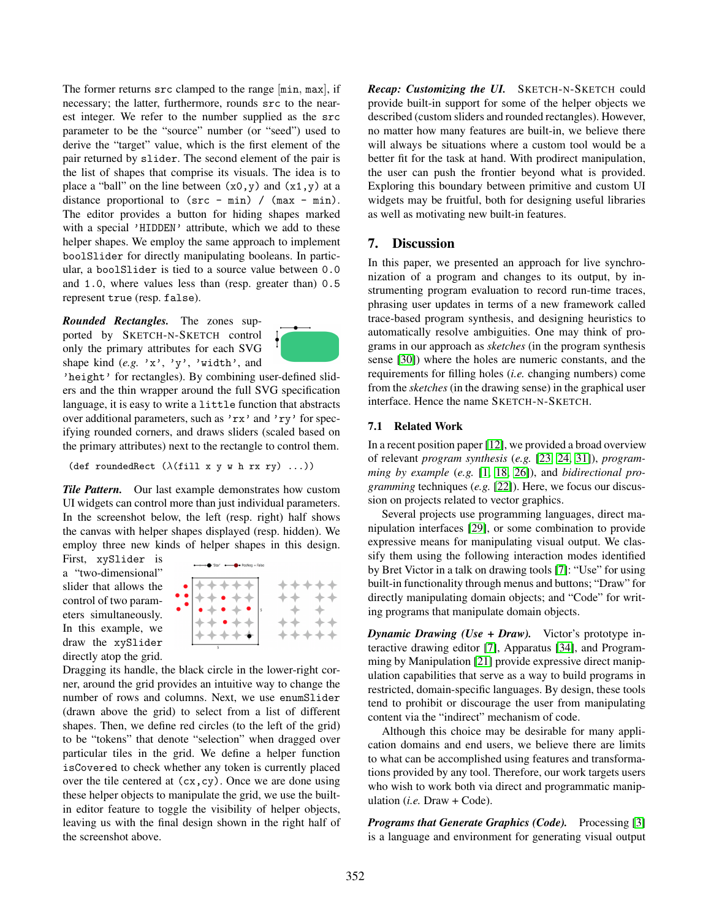The former returns src clamped to the range  $[\min, \max]$ , if necessary; the latter, furthermore, rounds src to the nearest integer. We refer to the number supplied as the src parameter to be the "source" number (or "seed") used to derive the "target" value, which is the first element of the pair returned by slider. The second element of the pair is the list of shapes that comprise its visuals. The idea is to place a "ball" on the line between  $(x0, y)$  and  $(x1, y)$  at a distance proportional to  $(\text{src} - \text{min}) / (\text{max} - \text{min}).$ The editor provides a button for hiding shapes marked with a special 'HIDDEN' attribute, which we add to these helper shapes. We employ the same approach to implement boolSlider for directly manipulating booleans. In particular, a boolSlider is tied to a source value between 0.0 and 1.0, where values less than (resp. greater than) 0.5 represent true (resp. false).

*Rounded Rectangles.* The zones supported by SKETCH-N-SKETCH control only the primary attributes for each SVG shape kind (*e.g.* 'x', 'y', 'width', and



'height' for rectangles). By combining user-defined sliders and the thin wrapper around the full SVG specification language, it is easy to write a little function that abstracts over additional parameters, such as 'rx' and 'ry' for specifying rounded corners, and draws sliders (scaled based on the primary attributes) next to the rectangle to control them.

(def roundedRect  $(\lambda(fill \times y \wedge h \rightharpoonup xy) \ldots))$ 

*Tile Pattern.* Our last example demonstrates how custom UI widgets can control more than just individual parameters. In the screenshot below, the left (resp. right) half shows the canvas with helper shapes displayed (resp. hidden). We employ three new kinds of helper shapes in this design.

First, xySlider is a "two-dimensional" slider that allows the control of two parameters simultaneously. In this example, we draw the xySlider directly atop the grid.



Dragging its handle, the black circle in the lower-right corner, around the grid provides an intuitive way to change the number of rows and columns. Next, we use enumSlider (drawn above the grid) to select from a list of different shapes. Then, we define red circles (to the left of the grid) to be "tokens" that denote "selection" when dragged over particular tiles in the grid. We define a helper function isCovered to check whether any token is currently placed over the tile centered at  $(cx, cy)$ . Once we are done using these helper objects to manipulate the grid, we use the builtin editor feature to toggle the visibility of helper objects, leaving us with the final design shown in the right half of the screenshot above.

*Recap: Customizing the UI.* SKETCH-N-SKETCH could provide built-in support for some of the helper objects we described (custom sliders and rounded rectangles). However, no matter how many features are built-in, we believe there will always be situations where a custom tool would be a better fit for the task at hand. With prodirect manipulation, the user can push the frontier beyond what is provided. Exploring this boundary between primitive and custom UI widgets may be fruitful, both for designing useful libraries as well as motivating new built-in features.

# 7. Discussion

In this paper, we presented an approach for live synchronization of a program and changes to its output, by instrumenting program evaluation to record run-time traces, phrasing user updates in terms of a new framework called trace-based program synthesis, and designing heuristics to automatically resolve ambiguities. One may think of programs in our approach as *sketches* (in the program synthesis sense [\[30\]](#page-13-11)) where the holes are numeric constants, and the requirements for filling holes (*i.e.* changing numbers) come from the *sketches* (in the drawing sense) in the graphical user interface. Hence the name SKETCH-N-SKETCH.

## 7.1 Related Work

In a recent position paper [\[12\]](#page-13-3), we provided a broad overview of relevant *program synthesis* (*e.g.* [\[23,](#page-13-12) [24,](#page-13-13) [31\]](#page-13-14)), *programming by example* (*e.g.* [\[1,](#page-12-3) [18,](#page-13-15) [26\]](#page-13-16)), and *bidirectional programming* techniques (*e.g.* [\[22\]](#page-13-17)). Here, we focus our discussion on projects related to vector graphics.

Several projects use programming languages, direct manipulation interfaces [\[29\]](#page-13-0), or some combination to provide expressive means for manipulating visual output. We classify them using the following interaction modes identified by Bret Victor in a talk on drawing tools [\[7\]](#page-13-18): "Use" for using built-in functionality through menus and buttons; "Draw" for directly manipulating domain objects; and "Code" for writing programs that manipulate domain objects.

*Dynamic Drawing (Use + Draw).* Victor's prototype interactive drawing editor [\[7\]](#page-13-18), Apparatus [\[34\]](#page-13-19), and Programming by Manipulation [\[21\]](#page-13-20) provide expressive direct manipulation capabilities that serve as a way to build programs in restricted, domain-specific languages. By design, these tools tend to prohibit or discourage the user from manipulating content via the "indirect" mechanism of code.

Although this choice may be desirable for many application domains and end users, we believe there are limits to what can be accomplished using features and transformations provided by any tool. Therefore, our work targets users who wish to work both via direct and programmatic manipulation (*i.e.* Draw + Code).

*Programs that Generate Graphics (Code).* Processing [\[3\]](#page-12-0) is a language and environment for generating visual output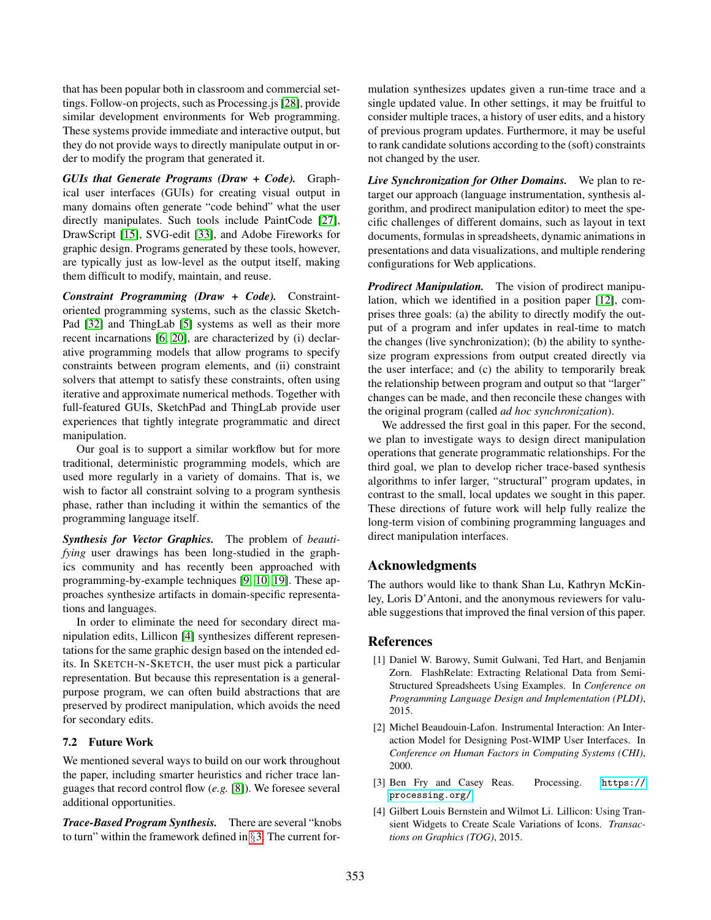that has been popular both in classroom and commercial settings. Follow-on projects, such as Processing.js [\[28\]](#page-13-2), provide similar development environments for Web programming. These systems provide immediate and interactive output, but they do not provide ways to directly manipulate output in order to modify the program that generated it.

*GUIs that Generate Programs (Draw + Code).* Graphical user interfaces (GUIs) for creating visual output in many domains often generate "code behind" what the user directly manipulates. Such tools include PaintCode [\[27\]](#page-13-21), DrawScript [\[15\]](#page-13-22), SVG-edit [\[33\]](#page-13-23), and Adobe Fireworks for graphic design. Programs generated by these tools, however, are typically just as low-level as the output itself, making them difficult to modify, maintain, and reuse.

*Constraint Programming (Draw + Code).* Constraintoriented programming systems, such as the classic Sketch-Pad [\[32\]](#page-13-9) and ThingLab [\[5\]](#page-13-24) systems as well as their more recent incarnations [\[6,](#page-13-25) [20\]](#page-13-26), are characterized by (i) declarative programming models that allow programs to specify constraints between program elements, and (ii) constraint solvers that attempt to satisfy these constraints, often using iterative and approximate numerical methods. Together with full-featured GUIs, SketchPad and ThingLab provide user experiences that tightly integrate programmatic and direct manipulation.

Our goal is to support a similar workflow but for more traditional, deterministic programming models, which are used more regularly in a variety of domains. That is, we wish to factor all constraint solving to a program synthesis phase, rather than including it within the semantics of the programming language itself.

*Synthesis for Vector Graphics.* The problem of *beautifying* user drawings has been long-studied in the graphics community and has recently been approached with programming-by-example techniques [\[9,](#page-13-27) [10,](#page-13-28) [19\]](#page-13-29). These approaches synthesize artifacts in domain-specific representations and languages.

In order to eliminate the need for secondary direct manipulation edits, Lillicon [\[4\]](#page-12-1) synthesizes different representations for the same graphic design based on the intended edits. In SKETCH-N-SKETCH, the user must pick a particular representation. But because this representation is a generalpurpose program, we can often build abstractions that are preserved by prodirect manipulation, which avoids the need for secondary edits.

## 7.2 Future Work

We mentioned several ways to build on our work throughout the paper, including smarter heuristics and richer trace languages that record control flow (*e.g.* [\[8\]](#page-13-30)). We foresee several additional opportunities.

*Trace-Based Program Synthesis.* There are several "knobs to turn" within the framework defined in §[3.](#page-4-0) The current formulation synthesizes updates given a run-time trace and a single updated value. In other settings, it may be fruitful to consider multiple traces, a history of user edits, and a history of previous program updates. Furthermore, it may be useful to rank candidate solutions according to the (soft) constraints not changed by the user.

*Live Synchronization for Other Domains.* We plan to retarget our approach (language instrumentation, synthesis algorithm, and prodirect manipulation editor) to meet the specific challenges of different domains, such as layout in text documents, formulas in spreadsheets, dynamic animations in presentations and data visualizations, and multiple rendering configurations for Web applications.

*Prodirect Manipulation.* The vision of prodirect manipulation, which we identified in a position paper [\[12\]](#page-13-3), comprises three goals: (a) the ability to directly modify the output of a program and infer updates in real-time to match the changes (live synchronization); (b) the ability to synthesize program expressions from output created directly via the user interface; and (c) the ability to temporarily break the relationship between program and output so that "larger" changes can be made, and then reconcile these changes with the original program (called *ad hoc synchronization*).

We addressed the first goal in this paper. For the second, we plan to investigate ways to design direct manipulation operations that generate programmatic relationships. For the third goal, we plan to develop richer trace-based synthesis algorithms to infer larger, "structural" program updates, in contrast to the small, local updates we sought in this paper. These directions of future work will help fully realize the long-term vision of combining programming languages and direct manipulation interfaces.

# Acknowledgments

The authors would like to thank Shan Lu, Kathryn McKinley, Loris D'Antoni, and the anonymous reviewers for valuable suggestions that improved the final version of this paper.

## References

- <span id="page-12-3"></span>[1] Daniel W. Barowy, Sumit Gulwani, Ted Hart, and Benjamin Zorn. FlashRelate: Extracting Relational Data from Semi-Structured Spreadsheets Using Examples. In *Conference on Programming Language Design and Implementation (PLDI)*, 2015.
- <span id="page-12-2"></span>[2] Michel Beaudouin-Lafon. Instrumental Interaction: An Interaction Model for Designing Post-WIMP User Interfaces. In *Conference on Human Factors in Computing Systems (CHI)*, 2000.
- <span id="page-12-0"></span>[3] Ben Fry and Casey Reas. Processing. [https://](https://processing.org/) [processing.org/](https://processing.org/).
- <span id="page-12-1"></span>[4] Gilbert Louis Bernstein and Wilmot Li. Lillicon: Using Transient Widgets to Create Scale Variations of Icons. *Transactions on Graphics (TOG)*, 2015.